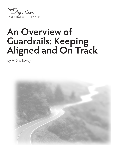

# **An Overview of Guardrails: Keeping Aligned and On Track**

by Al Shalloway

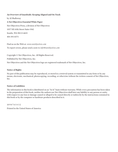#### **An Overview of Guardrails: Keeping Aligned and On Track**

by Al Shalloway **A Net Objectives Essential White Paper** Net Objectives Press, a division of Net Objectives 1037 NE 65th Street Suite #362 Seattle, WA 98115-6655 404-593-8375

Find us on the Web at: *www.netobjectives.com* To report errors, please send a note to *info@netobjectives.com*

Copyright © Net Objectives, Inc. All Rights Reserved. Published by Net Objectives, Inc. Net Objectives and the Net Objectives logo are registered trademark of Net Objectives, Inc.

#### **Notice of Rights**

No part of this publication may be reproduced, or stored in a retrieval system or transmitted in any form or by any means, electronic, mechanical, photocopying, recording, or otherwise without the written consent of Net Objectives, Inc.

#### **Notice of Liabilities**

The information in this book is distributed on an "As Is" basis without warranty. While every precaution has been taken in the preparation of this book, neither the authors nor Net Objectives shall have any liability to any person or entity with respect to any loss or damage caused or alleged to be caused directly or indirectly by the instructions contained in this book or by the computer or hardware products described in it.

10 9 8 7 6 5 4 3 2

Printed in the United States of America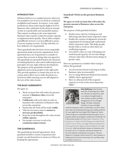#### **INTRODUCTION**

Solution Delivery is a complex process. However, it is possible to see if one is on track in a relatively straightforward manner. In essence, Lean-Agile methods are about achieving the highest level of Business value realization in the shortest amount of time in a predictable and sustainable manner. This requires working on the most important Business value requests within the proper capacity to implement them quickly. This is often complex and difficult; however, it is less difficult to assess if you are staying on track. To help with this, we have defined a set of guardrails.

These guardrails take the form of non-negotiable agreements made across the organization. Each agreement has a set of questions to consider to ensure that everyone is doing what was agreed to. The guardrails are grounded both in the intention of realizing Business value and in following known principles of Lean-Agile software development. The purpose of the guardrails is both for alignment and to keep people on the right path. They provide guidance to ensure that you are on course and to allow you to make decisions at a local level while ensuring you are still aligned to the rest of the value stream.

#### **THE BASIC AGREEMENTS**

We agree to:

- Work on items that will realize the greatest amount of **Business value** across the enterprise.
- **Collaborate** with each other in order to maximize the realization of Business value across the enterprise.
- Ensure that all work will be made **visible**.
- Take the necessary steps to **sustain or increase predictability.**
- Keep the work throughout the value stream **within capacity**.
- Encourage everyone to strive for **continuous improvement**.

#### **THE GUARDRAILS**

The guardrails go beyond agreements. Each guardrail includes a variety of questions that people can ask themselves to assess see if they are keeping the agreements.

#### **Guardrail: Work on the greatest Business value**

#### **We agree to work on items that will realize the greatest amount of Business value across the enterprise.**

The purpose of this guardrail includes:

- Realize more value by working on and delivering only those items of greatest value.
- Enable the creation of alignment across the organization by having people understand what's of greatest value. This helps people decide what to work on when there are conflicting requests.
- Use relative value as a way of keeping your work beyond capacity. Do not start things of lesser value that will slow down things of greater value.

Here are questions to consider when trying to follow this guardrail:

- Are all activities based on having us realize Business value incrementally?
- Are we using Minimum Business Increments (MBIs) where appropriate?
- Have we allocated all of the required capacity to work on the most important MBIs?



**Alan Shalloway** is the founder and CEO of Net Objectives. With over 40 years of experience, Alan is an industry thought leader in Lean, Kanban, product portfolio management, Scrum and agile design. He helps companies transition to Lean and Agile

methods enterprise-wide as well teaches courses in these areas. Alan has developed training and coaching methods for Lean-Agile that have helped Net Objectives' clients achieve long-term, sustainable productivity gains. He is a popular speaker at prestigious conferences worldwide. He is the primary author of Design Patterns Explained: A New Perspective on Object-Oriented Design, Lean-Agile Pocket Guide for Scrum Teams, Lean-Agile Software Development: Achieving Enterprise Agility and Essential Skills for the Agile Developer. Alan has worked in dozens of industries over his career. He is a co-founder and board member for the Lean Software and Systems Consortium. He has a Masters in Computer Science from M.I.T. and a Masters in Mathematics from Emory University. You can follow Alan on twitter @alshalloway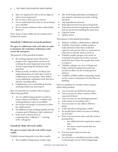- Have we sequenced work so all can align on what is most important?
- Do we have a clear success criteria?
- Do we understand why what we are working on is valuable?
- Do we measure Business value realized after delivery?

Note: Some of these MBIs may be architectural / technical in nature.

#### **Guardrail: Collaborate across boundaries**

**We agree to collaborate with each other in order to maximize the realization of Business value across the enterprise.**

The purpose of this guardrail includes:

- By working together more effectively people in the organization can focus on realizing the most important items work, thereby supporting the Business value guardrail.
- Delays in work, workflow, feedback and using information are often due to lack of collaboration across groups. These delays create additional, unplanned work that has a adverse cascading effect.
- Collaboration on a worthwhile goal is fun and helps build trust and respect.

Here are questions to consider when trying to follow this guardrail:

- Are we collaborating together in order to remove delays in feedback, workflow and realizing Business value of our MBIs?
- Do we have the proper ecosystems to allow for collaboration?
- Are different teams working together for the common goal of Business value realization?
- Is the most common form of communication "talking to" / "meeting with" colleagues?

#### **Guardrail: Make all work visible**

#### **We agree to ensure that all work will be made visible.**

Visibility means being able to see these readily:

The workflow being used to realize value

- The work being undertaken, including its size, priority and status (in work, waiting, blocked)
- Any impediments present
- Dependencies between pieces being built
- Dependencies between groups and another that are involved in building the same item
- Capacity issues
- Quality issues

The purpose of this guardrail includes:

- Without visibility, collaboration is difficult.
- Visibility of priorities enables people to make decisions when there is limited capacity and a person who is a constraint on others has to decide what to work on.
- Visibility enables people to be aware of constraints downstream so they can start work that they'll have the people they need to realize it
- Visibility enlarges our view of things and helps avoid local optimization that has an adverse affect on the overall speed of delivery.
- Visibility of MBIs enables technology clarity on the context and purpose of what they are building.

Here are questions to consider when trying to follow this guardrail:

- Can everyone see all Work-in-Process?
- Can everyone see what is and/or will be expected of them?
- Can everyone see any blockages present?
- Is the status of everything clear?
- Can everyone see any risks to delivery dates?
- Is all work that is being done visible?
- Do people know what everyone is working on and why?
- Does everyone know when and why work is getting done?
	- Are additional roles required to ensure this?
	- Are there visual controls that can show this?
- Is it clear how work activities are interacting?
- Are all active or scheduled activities visible so that people can see what is happening?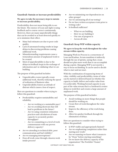#### **Guardrail: Sustain or increase predictability**

#### **We agree to take the necessary steps to sustain or increase predictability.**

Predictability does not mean being able to see the future. The essence of Lean and Agile is using feedback and to course correct continuously. However, there are many unpredictable things that can be avoided or at least detected quickly so as to minimize their effect.

- Many bad estimates are due to poor code quality.
- Lack of automated testing results in large delays in discovering problems causing additional work.
- Misunderstanding requirements cause a tremendous amount of unplanned work to be created.
- Most of unpredictability is due to the delays in feedback loops in the exchange of information and in validating what we are building.

The purpose of this guardrail includes:

- Unpredictable events typically create additional work, thereby reducing the speed of realization of Business value.
- Unpredictability fosters an attitude of distrust which causes a loss of respect.

Here are questions to consider when trying to follow this guardrail:

- Predictability requires sustainability and reliability.
	- Are we working at a sustainable pace?
	- Are we avoiding shortcuts that will lead to problems in the future?
	- Are we using consistent estimation practices and calculations of team capacity to accurately predict throughput?
	- Are we committing to a level of work commensurate with our proven delivery capacity?
- Are we attending to technical debt, poor communication and bad visibility?
- Are we managing interruptions?
- Does all work come through a known work intake process?
- Are we minimizing our dependencies on other groups?
- Are we automating all of our testing?
- Do we have written acceptance tests prior to writing code?
- Is feedback sufficient?
	- What we are building
	- How we are building it
	- Our rate of progress is
	- Across all roles

#### **Guardrail: Keep WIP within capacity**

#### **We agree to keep the work throughout the value stream within capacity.**

Managing Work-in-Process is a cornerstone of Lean and Kanban. Scrum manifests it indirectly through the use of sprints, saying that a team should not plan more work than it can accomplish during a sprint. Managing WIP is not merely a way to focus on finishing. It can be used to decide what to start and not start.

With the combination of sequencing items of value, visibility and predictability, items of value can be started or deferred based on whether the capacity to build, deliver and realize value from it is achievable. Working beyond capacity in any part of the value stream that is a bottleneck creates delays in work flow and creates a large amount of unplanned work.

The purpose of this guardrail includes:

- Avoid working on more things that people should be working on.
- Create flow of work throughout the value stream.
- Improve the efficiency of the work being done.
- Allow for quicker feedback through the elimination of delays.

Here are questions to consider when trying to follow this guardrail:

- Is WIP visible and appropriately limited?
- Are we emphasizing completion rather than starting new work?
- Are we ensuring we know what it means to be "Done" before starting something?
- Do we know the delivery capacity of the organization? The Portfolio? Teams?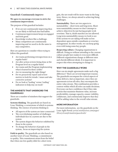#### **Guardrail: Continuously improve**

#### **We agree to encourage everyone to strive for continuous improvement.**

The purpose of this guardrail includes:

- If we are not continuously improving then we are likely to fall back into bad habits.
- Continuous improvement keeps us engaged and feels good.
- Knowledge workers like a challenge.
- Many competitors are continuously improving and we need to do the same to stay competitive.

Here are questions to consider when trying to follow this guardrail:

- Are teams performing retrospections on a regular basis?
- Are after action reviews being done at the Program level on a regular basis?
- Are teams and the Program implementing what is learned in these AARs?
- Are we measuring the right things?
- Do we proactively report and review metrics to look for trends / issues and take corrective actions?
- Do we look at 'leading' versus 'trailing' indicators to help stay on track?

#### **THE MINDSETS THAT UNDERGIRD THE GUARDRAILS**

There are a number of mindsets that support the guardrails.

**Systems thinking**. The guardrails are based on Lean-Thinking, a cornerstone of which is systems thinking. The essence of systems thinking is:

- All aspects of the system are inter-connected
- The overwhelming number of challenges individuals face in a system are due to the system
- The system shapes the behavior exhibited by those in the system
- To change the behavior of people in the system, focus on improving the system

**Faith in quality**. The guardrails are also based on another tenet of Lean-Thinking, a commitment to quality. This commitment stems from the belief that when one lets quality slide for a short term

gain, the net result will be more waste in the long term. Hence, we always attend to achieving fixing challenges.

**Sustainability**. There are two aspects to sustainability – short term and long term. Short term sustainability means we don't attempt to achieve objectives by just having people work overtime. That is, death marches are not allowed. Long term sustainability means we look to see if the actions we are taking will make us less dependent upon outside consultants or even key management. In other words, we can keep going even with losing some key people.

**Respecting culture.** Changing organizations is difficult. Doing so without attending to the current culture people have makes it even more difficult. Different organizations change at different rates and cherish different ideals. It is important to respect this when attempting to change it.

#### **WHY THE GUARDRAILS WORK**

How can six simple agreements make such a big difference? There are several important reasons. The guardrails encompass the critical aspects of value delivery. Just as important, since they are agreements across all roles, they encompass the entire value stream. This combination provides a context within which all roles can make decisions. Everyone can have confidence that if they take actions that maximize Business value, increase predictability, manage capacity, ensure visibility, collaborate, and continuously improve that they will be adding value to the overall value stream.

#### **MORE INFORMATION**

For more information, see the guardrails on the Lean-Agile Portal: *portal.netobjectives.com/pages/ library/transformation/guardrails/*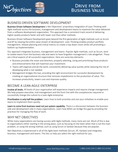

# Drive from Business Value

## BUSINESS-DRIVEN SOFTWARE DEVELOPMENT

Business-Driven Software Development is Net Objectives' proprietary integration of Lean-Thinking with Agile methods across the business, management and development teams to maximize the value delivered from a software development organization. This approach has a consistent track record of delivering higher quality products faster and with lower cost than other methods.

Business-Driven Software Development goes beyond the first generation of Agile methods such as Scrum and XP by viewing the entire value stream of development. Lean-Thinking enables product portfolio management, release planning and critical metrics to create a top-down vision while still promoting a bottom-up implementation.

Our approach integrates business, management and teams. Popular Agile methods, such as Scrum, tend to isolate teams from the business side and seem to have forgotten management's role altogether. These are critical aspects of all successful organizations. Here are some key elements:

- Business provides the vision and direction; properly selecting, sizing and prioritizing those products and enhancements that will maximize your investment.
- Teams self-organize and do the work; consistently delivering value quickly while reducing the risk of developing what is not needed.
- Management bridges the two; providing the right environment for successful development by creating an organizational structure that removes impediments to the production of value. This increases productivity, lowers cost and improves quality.

# BECOME A LEAN-AGILE ENTERPRISE

Involve all levels. All levels of your organization will experience impacts and require change management. We help prepare executive, mid-management and the front-line with the competencies required to successfully change the culture to a Lean-Agile enterprise.

Prioritization is only half the problem. Learn how to both prioritize and size your initiatives to enable your teams to implement them quickly.

Learn to come from business need not just system capability. There is a disconnect between the business side and development side in many organizations. Learn how BDSD can bridge this gap by providing the practices for managing the flow of work.

## WHY NET OBJECTIVES

While many organizations are having success with Agile methods, many more are not. Much of this is due to organizations either starting in the wrong place, such as focusing on the team when that is not the main problem, or using the wrong method, such as using Scrum or kanban because they are popular.

Net Objectives is experienced in all of the Agile team methods (Scrum, XP, Kanban) and integrates business, management and teams. This lets us help you select the right method for you.